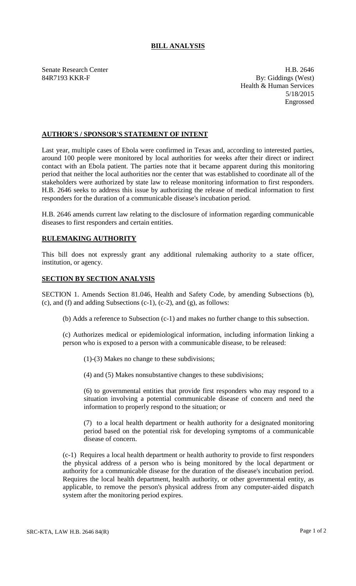## **BILL ANALYSIS**

Senate Research Center **H.B.** 2646 84R7193 KKR-F By: Giddings (West) Health & Human Services 5/18/2015 Engrossed

## **AUTHOR'S / SPONSOR'S STATEMENT OF INTENT**

Last year, multiple cases of Ebola were confirmed in Texas and, according to interested parties, around 100 people were monitored by local authorities for weeks after their direct or indirect contact with an Ebola patient. The parties note that it became apparent during this monitoring period that neither the local authorities nor the center that was established to coordinate all of the stakeholders were authorized by state law to release monitoring information to first responders. H.B. 2646 seeks to address this issue by authorizing the release of medical information to first responders for the duration of a communicable disease's incubation period.

H.B. 2646 amends current law relating to the disclosure of information regarding communicable diseases to first responders and certain entities.

## **RULEMAKING AUTHORITY**

This bill does not expressly grant any additional rulemaking authority to a state officer, institution, or agency.

## **SECTION BY SECTION ANALYSIS**

SECTION 1. Amends Section 81.046, Health and Safety Code, by amending Subsections (b),  $(c)$ , and  $(f)$  and adding Subsections  $(c-1)$ ,  $(c-2)$ , and  $(g)$ , as follows:

(b) Adds a reference to Subsection (c-1) and makes no further change to this subsection.

(c) Authorizes medical or epidemiological information, including information linking a person who is exposed to a person with a communicable disease, to be released:

(1)-(3) Makes no change to these subdivisions;

(4) and (5) Makes nonsubstantive changes to these subdivisions;

(6) to governmental entities that provide first responders who may respond to a situation involving a potential communicable disease of concern and need the information to properly respond to the situation; or

(7) to a local health department or health authority for a designated monitoring period based on the potential risk for developing symptoms of a communicable disease of concern.

(c-1) Requires a local health department or health authority to provide to first responders the physical address of a person who is being monitored by the local department or authority for a communicable disease for the duration of the disease's incubation period. Requires the local health department, health authority, or other governmental entity, as applicable, to remove the person's physical address from any computer-aided dispatch system after the monitoring period expires.